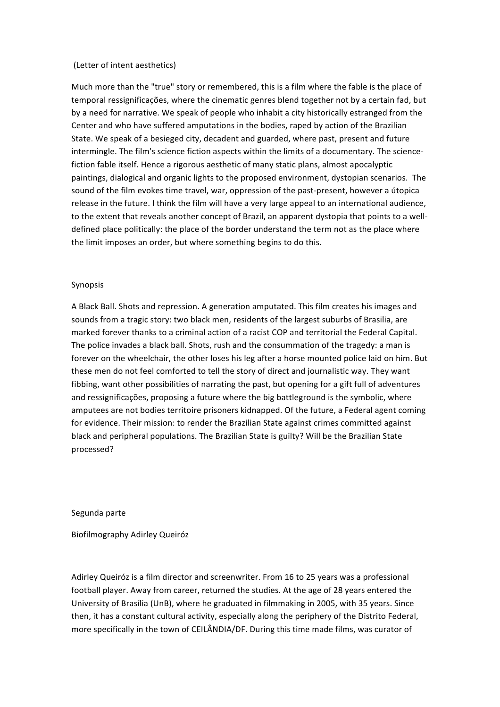## (Letter of intent aesthetics)

Much more than the "true" story or remembered, this is a film where the fable is the place of temporal ressignificações, where the cinematic genres blend together not by a certain fad, but by a need for narrative. We speak of people who inhabit a city historically estranged from the Center and who have suffered amputations in the bodies, raped by action of the Brazilian State. We speak of a besieged city, decadent and guarded, where past, present and future intermingle. The film's science fiction aspects within the limits of a documentary. The sciencefiction fable itself. Hence a rigorous aesthetic of many static plans, almost apocalyptic paintings, dialogical and organic lights to the proposed environment, dystopian scenarios. The sound of the film evokes time travel, war, oppression of the past-present, however a útopica release in the future. I think the film will have a very large appeal to an international audience, to the extent that reveals another concept of Brazil, an apparent dystopia that points to a welldefined place politically: the place of the border understand the term not as the place where the limit imposes an order, but where something begins to do this.

## Synopsis

A Black Ball. Shots and repression. A generation amputated. This film creates his images and sounds from a tragic story: two black men, residents of the largest suburbs of Brasilia, are marked forever thanks to a criminal action of a racist COP and territorial the Federal Capital. The police invades a black ball. Shots, rush and the consummation of the tragedy: a man is forever on the wheelchair, the other loses his leg after a horse mounted police laid on him. But these men do not feel comforted to tell the story of direct and journalistic way. They want fibbing, want other possibilities of narrating the past, but opening for a gift full of adventures and ressignificações, proposing a future where the big battleground is the symbolic, where amputees are not bodies territoire prisoners kidnapped. Of the future, a Federal agent coming for evidence. Their mission: to render the Brazilian State against crimes committed against black and peripheral populations. The Brazilian State is guilty? Will be the Brazilian State processed?

Segunda parte

Biofilmography Adirley Queiróz

Adirley Queiróz is a film director and screenwriter. From 16 to 25 years was a professional football player. Away from career, returned the studies. At the age of 28 years entered the University of Brasília (UnB), where he graduated in filmmaking in 2005, with 35 years. Since then, it has a constant cultural activity, especially along the periphery of the Distrito Federal, more specifically in the town of CEILÂNDIA/DF. During this time made films, was curator of